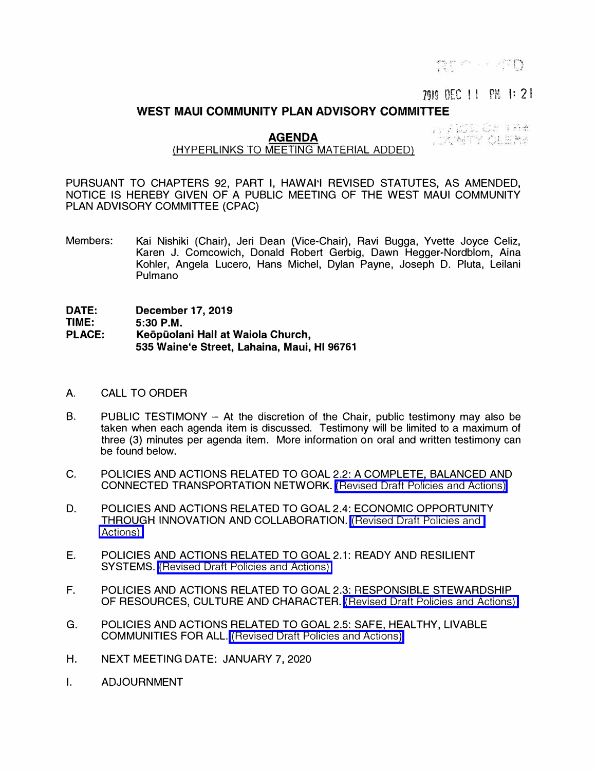RT Company

## ms **DEC I I**  ()l.l **: t,** I: 21,

## **WEST MAUI COMMUNITY PLAN ADVISORY COMMITTEE**

**AGENDA** 

1994年10月1日 TANTY CLERK

## (HYPERLINKS TO MEETING MATERIAL ADDED)

PURSUANT TO CHAPTERS 92, PART I, HAWAl'I REVISED STATUTES, AS AMENDED, NOTICE IS HEREBY GIVEN OF A PUBLIC MEETING OF THE WEST MAUI COMMUNITY PLAN ADVISORY COMMITTEE (CPAC)

Members: Kai Nishiki (Chair), Jeri Dean (Vice-Chair), Ravi Bugga, Yvette Joyce Celiz, Karen J. Comcowich, Donald Robert Gerbig, Dawn Hegger-Nordblom, Aina Kohler, Angela Lucero, Hans Michel, Dylan Payne, Joseph D. Pluta, Leilani Pulmano

**DATE: TIME: PLACE: December 17, 2019 5:30 P.M. Keopiiolani Hall at Waiola Church, 535 Waine'e Street, Lahaina, Maui, HI 96761** 

- A. CALL TO ORDER
- B. PUBLIC TESTIMONY At the discretion of the Chair, public testimony may also be taken when each agenda item is discussed. Testimony will be limited to a maximum of three (3) minutes per agenda item. More information on oral and written testimony can be found below.
- C. POLICIES AND ACTIONS RELATED TO GOAL 2.2: A COMPLETE, BALANCED AND CONNECTED TRANSPORTATION NETWORK. [\(Revised Draft Policies and Actions\)](https://wearemaui.konveio.com/sites/wearemaui.konveio.com/files/u14/REVISED%20-%20Draft_Transportation%20Network_P%26A_120619.pdf)
- D. POLICIES AND ACTIONS RELATED TO GOAL 2.4: ECONOMIC OPPORTUNITY THROUGH INNOVATION AND COLLABORATION. [\(Revised Draft Policies and](https://wearemaui.konveio.com/sites/wearemaui.konveio.com/files/u14/CPAC%20Revised%20-%20Draft_Economic%20Opportunity_P%26A%20-%20120419.pdf) [Actions\)](https://wearemaui.konveio.com/sites/wearemaui.konveio.com/files/u14/CPAC%20Revised%20-%20Draft_Economic%20Opportunity_P%26A%20-%20120419.pdf)
- E. POLICIES AND ACTIONS RELATED TO GOAL 2.1: READY AND RESILIENT SYSTEMS. [\(Revised Draft Policies and Actions\)](https://wearemaui.konveio.com/sites/wearemaui.konveio.com/files/u14/REVISED%20Draft_Ready%26Resilient_P%26A_All%20-%20120619.pdf)
- F. POLICIES AND ACTIONS RELATED TO GOAL 2.3: RESPONSIBLE STEWARDSHIP OF RESOURCES, CULTURE AND CHARACTER. [\(Revised Draft Policies and Actions\)](https://wearemaui.konveio.com/sites/wearemaui.konveio.com/files/u14/CPAC%20Revised_Responsible%20Stewardship_P%26A%20-%20121719.pdf)
- G. POLICIES AND ACTIONS RELATED TO GOAL 2.5: SAFE, HEALTHY, LIVABLE COMMUNITIES FOR ALL. [\(Revised Draft Policies and Actions\)](https://wearemaui.konveio.com/sites/wearemaui.konveio.com/files/u14/REVISED%20Draft_Safe%20Healthy%20Livable_P%26A%20-%20CPAC%20Edits_12.17.19.pdf)
- H. NEXT MEETING DATE: JANUARY 7, 2020
- I. ADJOURNMENT